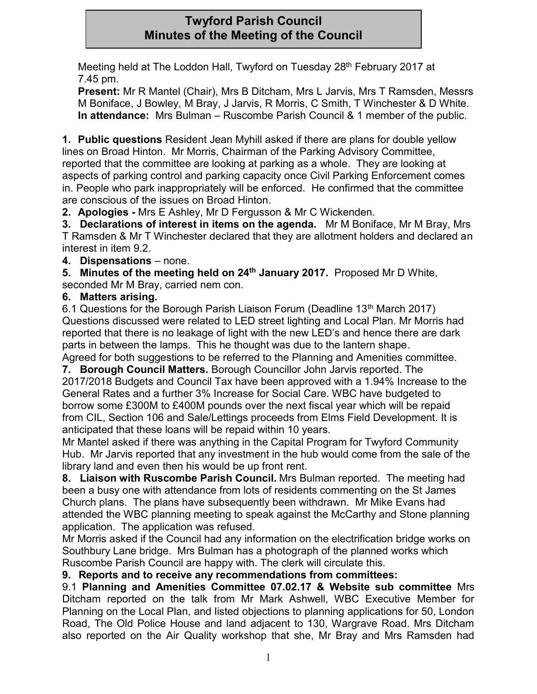## **Twyford Parish Council Minutes of the Meeting of the Council**

Meeting held at The Loddon Hall, Twyford on Tuesday 28<sup>th</sup> February 2017 at 7.45 pm.

**Present:** Mr R Mantel (Chair), Mrs B Ditcham, Mrs L Jarvis, Mrs T Ramsden, Messrs M Boniface, J Bowley, M Bray, J Jarvis, R Morris, C Smith, T Winchester & D White. **In attendance:** Mrs Bulman – Ruscombe Parish Council & 1 member of the public.

**1. Public questions** Resident Jean Myhill asked if there are plans for double yellow lines on Broad Hinton. Mr Morris, Chairman of the Parking Advisory Committee, reported that the committee are looking at parking as a whole. They are looking at aspects of parking control and parking capacity once Civil Parking Enforcement comes in. People who park inappropriately will be enforced. He confirmed that the committee are conscious of the issues on Broad Hinton.

**2. Apologies -** Mrs E Ashley, Mr D Fergusson & Mr C Wickenden.

**3. Declarations of interest in items on the agenda.** Mr M Boniface, Mr M Bray, Mrs T Ramsden & Mr T Winchester declared that they are allotment holders and declared an interest in item 9.2.

**4. Dispensations** – none.

**5. Minutes of the meeting held on 24th January 2017.** Proposed Mr D White, seconded Mr M Bray, carried nem con.

### **6. Matters arising.**

6.1 Questions for the Borough Parish Liaison Forum (Deadline 13<sup>th</sup> March 2017) Questions discussed were related to LED street lighting and Local Plan. Mr Morris had reported that there is no leakage of light with the new LED's and hence there are dark parts in between the lamps. This he thought was due to the lantern shape.

Agreed for both suggestions to be referred to the Planning and Amenities committee. **7. Borough Council Matters.** Borough Councillor John Jarvis reported. The 2017/2018 Budgets and Council Tax have been approved with a 1.94% Increase to the General Rates and a further 3% Increase for Social Care. WBC have budgeted to borrow some £300M to £400M pounds over the next fiscal year which will be repaid from CIL, Section 106 and Sale/Lettings proceeds from Elms Field Development. It is anticipated that these loans will be repaid within 10 years.

Mr Mantel asked if there was anything in the Capital Program for Twyford Community Hub. Mr Jarvis reported that any investment in the hub would come from the sale of the library land and even then his would be up front rent.

**8. Liaison with Ruscombe Parish Council.** Mrs Bulman reported. The meeting had been a busy one with attendance from lots of residents commenting on the St James Church plans. The plans have subsequently been withdrawn. Mr Mike Evans had attended the WBC planning meeting to speak against the McCarthy and Stone planning application. The application was refused.

Mr Morris asked if the Council had any information on the electrification bridge works on Southbury Lane bridge. Mrs Bulman has a photograph of the planned works which Ruscombe Parish Council are happy with. The clerk will circulate this.

### **9. Reports and to receive any recommendations from committees:**

9.1 **Planning and Amenities Committee 07.02.17 & Website sub committee** Mrs Ditcham reported on the talk from Mr Mark Ashwell, WBC Executive Member for Planning on the Local Plan, and listed objections to planning applications for 50, London Road, The Old Police House and land adjacent to 130, Wargrave Road. Mrs Ditcham also reported on the Air Quality workshop that she, Mr Bray and Mrs Ramsden had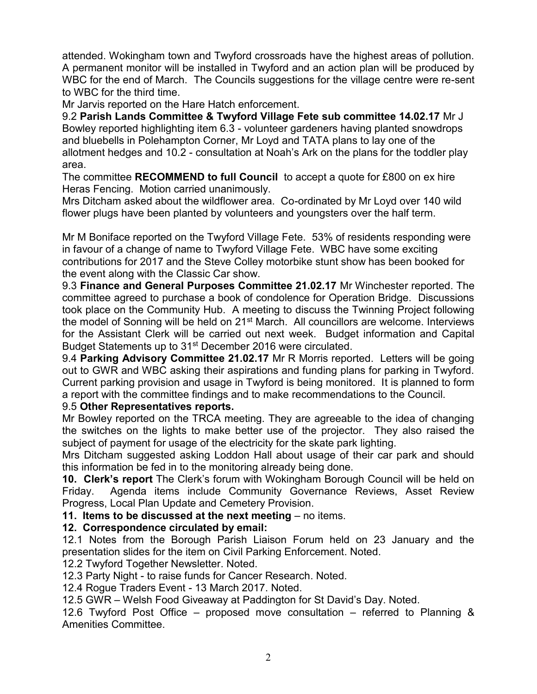attended. Wokingham town and Twyford crossroads have the highest areas of pollution. A permanent monitor will be installed in Twyford and an action plan will be produced by WBC for the end of March. The Councils suggestions for the village centre were re-sent to WBC for the third time.

Mr Jarvis reported on the Hare Hatch enforcement.

9.2 **Parish Lands Committee & Twyford Village Fete sub committee 14.02.17** Mr J Bowley reported highlighting item 6.3 - volunteer gardeners having planted snowdrops and bluebells in Polehampton Corner, Mr Loyd and TATA plans to lay one of the allotment hedges and 10.2 - consultation at Noah's Ark on the plans for the toddler play area.

The committee **RECOMMEND to full Council** to accept a quote for £800 on ex hire Heras Fencing. Motion carried unanimously.

Mrs Ditcham asked about the wildflower area. Co-ordinated by Mr Loyd over 140 wild flower plugs have been planted by volunteers and youngsters over the half term.

Mr M Boniface reported on the Twyford Village Fete. 53% of residents responding were in favour of a change of name to Twyford Village Fete. WBC have some exciting contributions for 2017 and the Steve Colley motorbike stunt show has been booked for the event along with the Classic Car show.

9.3 **Finance and General Purposes Committee 21.02.17** Mr Winchester reported. The committee agreed to purchase a book of condolence for Operation Bridge. Discussions took place on the Community Hub. A meeting to discuss the Twinning Project following the model of Sonning will be held on 21<sup>st</sup> March. All councillors are welcome. Interviews for the Assistant Clerk will be carried out next week. Budget information and Capital Budget Statements up to 31<sup>st</sup> December 2016 were circulated.

9.4 **Parking Advisory Committee 21.02.17** Mr R Morris reported. Letters will be going out to GWR and WBC asking their aspirations and funding plans for parking in Twyford. Current parking provision and usage in Twyford is being monitored. It is planned to form a report with the committee findings and to make recommendations to the Council.

#### 9.5 **Other Representatives reports.**

Mr Bowley reported on the TRCA meeting. They are agreeable to the idea of changing the switches on the lights to make better use of the projector. They also raised the subject of payment for usage of the electricity for the skate park lighting.

Mrs Ditcham suggested asking Loddon Hall about usage of their car park and should this information be fed in to the monitoring already being done.

**10. Clerk's report** The Clerk's forum with Wokingham Borough Council will be held on Friday. Agenda items include Community Governance Reviews, Asset Review Progress, Local Plan Update and Cemetery Provision.

**11. Items to be discussed at the next meeting** – no items.

#### **12. Correspondence circulated by email:**

12.1 Notes from the Borough Parish Liaison Forum held on 23 January and the presentation slides for the item on Civil Parking Enforcement. Noted.

12.2 Twyford Together Newsletter. Noted.

12.3 Party Night - to raise funds for Cancer Research. Noted.

12.4 Rogue Traders Event - 13 March 2017. Noted.

12.5 GWR – Welsh Food Giveaway at Paddington for St David's Day. Noted.

12.6 Twyford Post Office – proposed move consultation – referred to Planning & Amenities Committee.